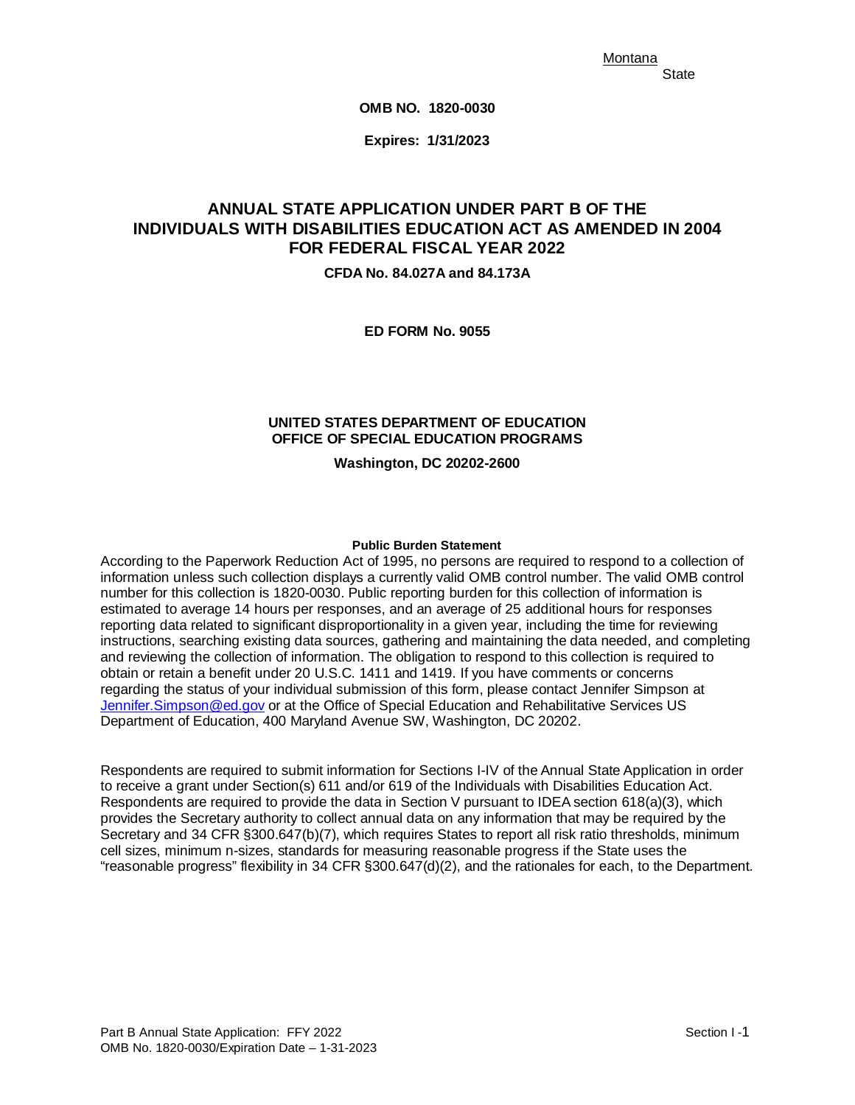Montana **State** 

**OMB NO. 1820-0030** 

 **Expires: 1/31/2023** 

# **ANNUAL STATE APPLICATION UNDER PART B OF THE ANNUAL STATE APPLICATION UNDER PART B OF THE INDIVIDUALS WITH DISABILITIES EDUCATION ACT AS AMENDED IN 2004 FOR FEDERAL FISCAL YEAR 2022**

**CFDA No. 84.027A and 84.173A** 

**ED FORM No. 9055** 

## **UNITED STATES DEPARTMENT OF EDUCATION OFFICE OF SPECIAL EDUCATION PROGRAMS**

**Washington, DC 20202-2600** 

#### **Public Burden Statement**

 estimated to average 14 hours per responses, and an average of 25 additional hours for responses and reviewing the collection of information. The obligation to respond to this collection is required to According to the Paperwork Reduction Act of 1995, no persons are required to respond to a collection of information unless such collection displays a currently valid OMB control number. The valid OMB control number for this collection is 1820-0030. Public reporting burden for this collection of information is reporting data related to significant disproportionality in a given year, including the time for reviewing instructions, searching existing data sources, gathering and maintaining the data needed, and completing obtain or retain a benefit under 20 U.S.C. 1411 and 1419. If you have comments or concerns regarding the status of your individual submission of this form, please contact Jennifer Simpson at [Jennifer.Simpson@ed.gov](mailto:Jennifer.Simpson@ed.gov) or at the Office of Special Education and Rehabilitative Services US Department of Education, 400 Maryland Avenue SW, Washington, DC 20202.

 to receive a grant under Section(s) 611 and/or 619 of the Individuals with Disabilities Education Act. Secretary and 34 CFR §300.647(b)(7), which requires States to report all risk ratio thresholds, minimum Respondents are required to submit information for Sections I-IV of the Annual State Application in order Respondents are required to provide the data in Section V pursuant to IDEA section 618(a)(3), which provides the Secretary authority to collect annual data on any information that may be required by the cell sizes, minimum n-sizes, standards for measuring reasonable progress if the State uses the "reasonable progress" flexibility in 34 CFR §300.647(d)(2), and the rationales for each, to the Department.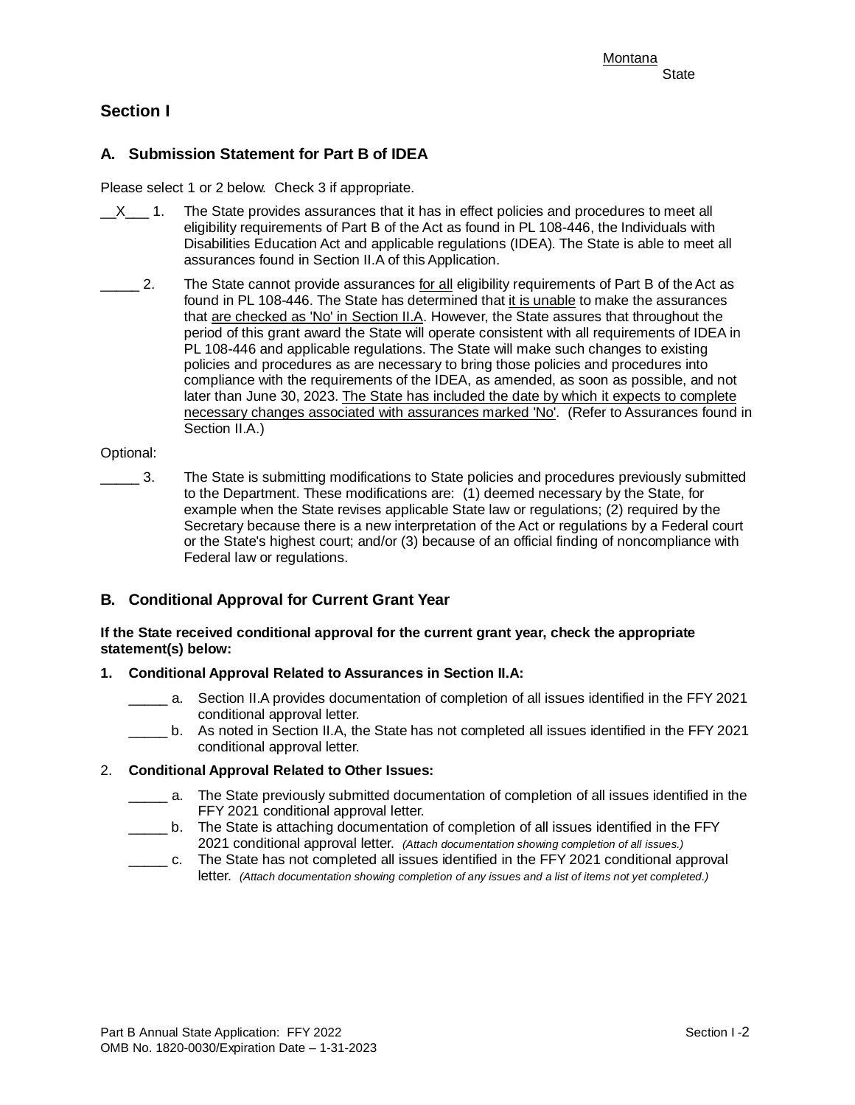# **Section I**

# **A. Submission Statement for Part B of IDEA**

Please select 1 or 2 below. Check 3 if appropriate.

- $\_X$ \_ $\_$  1. The State provides assurances that it has in effect policies and procedures to meet all Disabilities Education Act and applicable regulations (IDEA). The State is able to meet all assurances found in Section II.A of this Application. eligibility requirements of Part B of the Act as found in PL 108-446, the Individuals with
- \_\_\_\_\_ 2. The State cannot provide assurances <u>for all</u> eligibility requirements of Part B of the Act as compliance with the requirements of the IDEA, as amended, as soon as possible, and not found in PL 108-446. The State has determined that it is unable to make the assurances that are checked as 'No' in Section II.A. However, the State assures that throughout the period of this grant award the State will operate consistent with all requirements of IDEA in PL 108-446 and applicable regulations. The State will make such changes to existing policies and procedures as are necessary to bring those policies and procedures into later than June 30, 2023. The State has included the date by which it expects to complete necessary changes associated with assurances marked 'No'. (Refer to Assurances found in Section II.A.)

#### Optional:

**\_\_\_\_\_** 3. The State is submitting modifications to State policies and procedures previously submitted to the Department. These modifications are: (1) deemed necessary by the State, for example when the State revises applicable State law or regulations; (2) required by the Secretary because there is a new interpretation of the Act or regulations by a Federal court or the State's highest court; and/or (3) because of an official finding of noncompliance with Federal law or regulations.

# **B. Conditional Approval for Current Grant Year**

#### **If the State received conditional approval for the current grant year, check the appropriate statement(s) below:**

#### **1. Conditional Approval Related to Assurances in Section II.A:**

- a. Section II.A provides documentation of completion of all issues identified in the FFY 2021 conditional approval letter.
- conditional approval letter. \_\_\_\_\_ b. As noted in Section II.A, the State has not completed all issues identified in the FFY 2021

## 2. **Conditional Approval Related to Other Issues:**

- \_\_\_\_ a. The State previously submitted documentation of completion of all issues identified in the FFY 2021 conditional approval letter.
- 2021 conditional approval letter. *(Attach documentation showing completion of all issues.)*  \_\_\_\_\_ b. The State is attaching documentation of completion of all issues identified in the FFY
- \_\_\_\_\_ c. The State has not completed all issues identified in the FFY 2021 conditional approval letter. *(Attach documentation showing completion of any issues and a list of items not yet completed.)*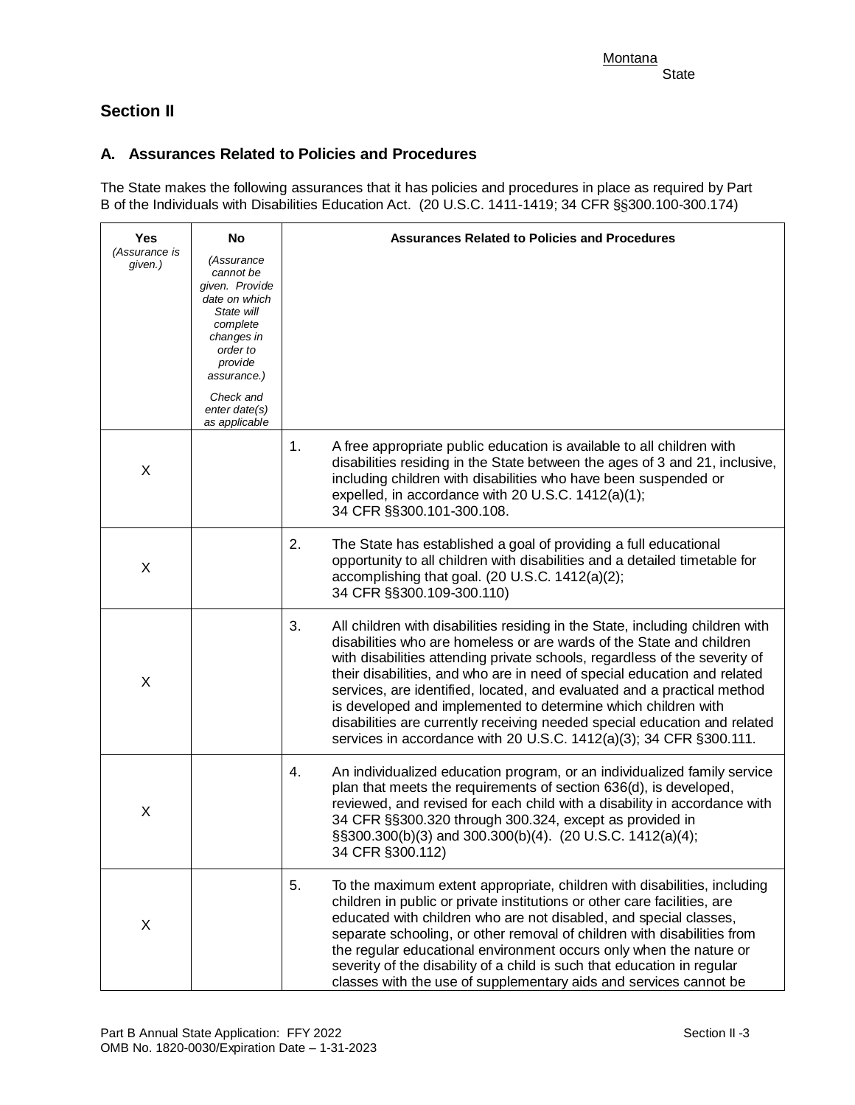# **Section II**

# **A. Assurances Related to Policies and Procedures**

 B of the Individuals with Disabilities Education Act. (20 U.S.C. 1411-1419; 34 CFR §§300.100-300.174) The State makes the following assurances that it has policies and procedures in place as required by Part

| Yes                      | No                                                                                                                                                    | <b>Assurances Related to Policies and Procedures</b>                                                                                                                                                                                                                                                                                                                                                                                                                                                                                                                                                                 |
|--------------------------|-------------------------------------------------------------------------------------------------------------------------------------------------------|----------------------------------------------------------------------------------------------------------------------------------------------------------------------------------------------------------------------------------------------------------------------------------------------------------------------------------------------------------------------------------------------------------------------------------------------------------------------------------------------------------------------------------------------------------------------------------------------------------------------|
| (Assurance is<br>given.) | (Assurance<br>cannot be<br>given. Provide<br>date on which<br>State will<br>complete<br>changes in<br>order to<br>provide<br>assurance.)<br>Check and |                                                                                                                                                                                                                                                                                                                                                                                                                                                                                                                                                                                                                      |
|                          | enter date(s)<br>as applicable                                                                                                                        |                                                                                                                                                                                                                                                                                                                                                                                                                                                                                                                                                                                                                      |
| X                        |                                                                                                                                                       | A free appropriate public education is available to all children with<br>1.<br>disabilities residing in the State between the ages of 3 and 21, inclusive,<br>including children with disabilities who have been suspended or<br>expelled, in accordance with 20 U.S.C. 1412(a)(1);<br>34 CFR §§300.101-300.108.                                                                                                                                                                                                                                                                                                     |
| X                        |                                                                                                                                                       | 2.<br>The State has established a goal of providing a full educational<br>opportunity to all children with disabilities and a detailed timetable for<br>accomplishing that goal. (20 U.S.C. 1412(a)(2);<br>34 CFR §§300.109-300.110)                                                                                                                                                                                                                                                                                                                                                                                 |
| X                        |                                                                                                                                                       | 3.<br>All children with disabilities residing in the State, including children with<br>disabilities who are homeless or are wards of the State and children<br>with disabilities attending private schools, regardless of the severity of<br>their disabilities, and who are in need of special education and related<br>services, are identified, located, and evaluated and a practical method<br>is developed and implemented to determine which children with<br>disabilities are currently receiving needed special education and related<br>services in accordance with 20 U.S.C. 1412(a)(3); 34 CFR §300.111. |
| X                        |                                                                                                                                                       | An individualized education program, or an individualized family service<br>4.<br>plan that meets the requirements of section 636(d), is developed,<br>reviewed, and revised for each child with a disability in accordance with<br>34 CFR §§300.320 through 300.324, except as provided in<br>§§300.300(b)(3) and 300.300(b)(4). (20 U.S.C. 1412(a)(4);<br>34 CFR §300.112)                                                                                                                                                                                                                                         |
| X                        |                                                                                                                                                       | 5.<br>To the maximum extent appropriate, children with disabilities, including<br>children in public or private institutions or other care facilities, are<br>educated with children who are not disabled, and special classes,<br>separate schooling, or other removal of children with disabilities from<br>the regular educational environment occurs only when the nature or<br>severity of the disability of a child is such that education in regular<br>classes with the use of supplementary aids and services cannot be                                                                                     |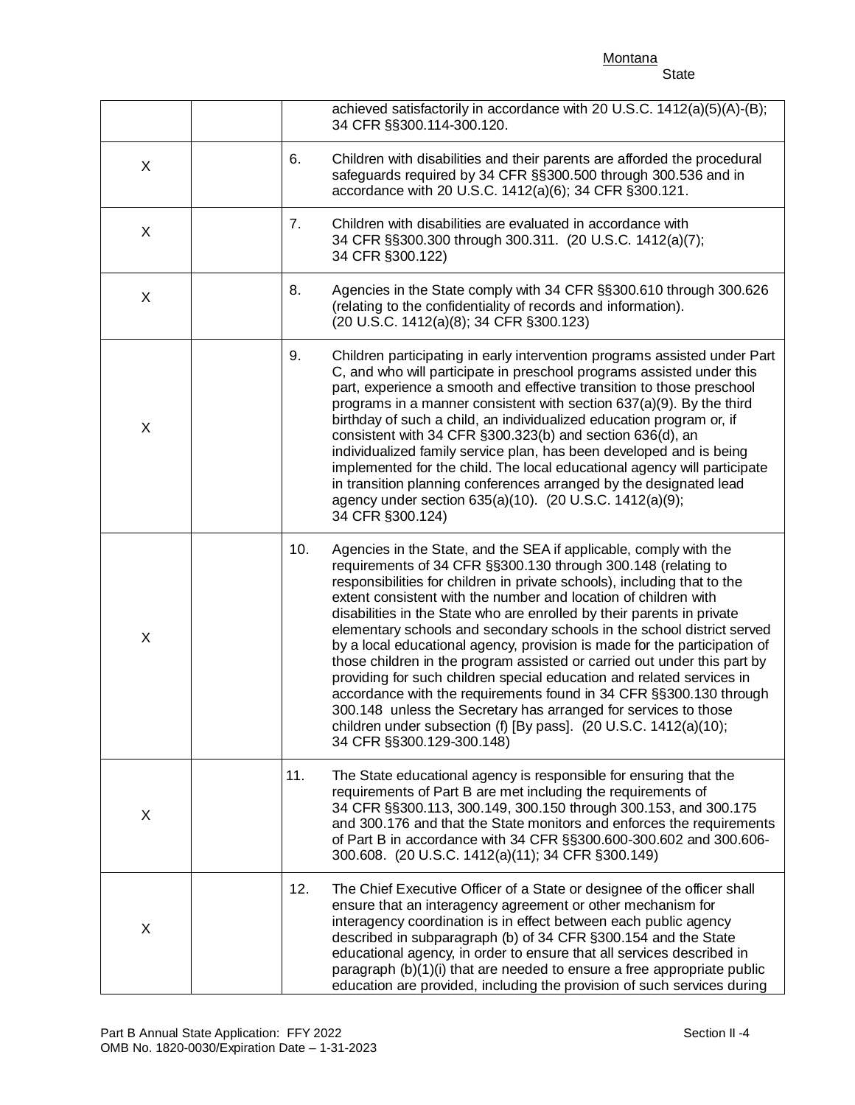**Montana** 

|                                                                                                                                            | State |
|--------------------------------------------------------------------------------------------------------------------------------------------|-------|
| achieved satisfactorily in accordance with 20 U.S.C. 1412(a)(5)(A)-(B);<br>34 CFR §§300.114-300.120.                                       |       |
| Children with disabilities and their parents are afforded the procedural<br>cofequards required by 24 CED 88200 500 through 200 526 and in |       |

| X           | 6.  | Children with disabilities and their parents are afforded the procedural<br>safeguards required by 34 CFR §§300.500 through 300.536 and in<br>accordance with 20 U.S.C. 1412(a)(6); 34 CFR §300.121.                                                                                                                                                                                                                                                                                                                                                                                                                                                                                                                                                                                                                                                                                                              |
|-------------|-----|-------------------------------------------------------------------------------------------------------------------------------------------------------------------------------------------------------------------------------------------------------------------------------------------------------------------------------------------------------------------------------------------------------------------------------------------------------------------------------------------------------------------------------------------------------------------------------------------------------------------------------------------------------------------------------------------------------------------------------------------------------------------------------------------------------------------------------------------------------------------------------------------------------------------|
| X           | 7.  | Children with disabilities are evaluated in accordance with<br>34 CFR §§300.300 through 300.311. (20 U.S.C. 1412(a)(7);<br>34 CFR §300.122)                                                                                                                                                                                                                                                                                                                                                                                                                                                                                                                                                                                                                                                                                                                                                                       |
| X           | 8.  | Agencies in the State comply with 34 CFR §§300.610 through 300.626<br>(relating to the confidentiality of records and information).<br>(20 U.S.C. 1412(a)(8); 34 CFR §300.123)                                                                                                                                                                                                                                                                                                                                                                                                                                                                                                                                                                                                                                                                                                                                    |
| $\mathsf X$ | 9.  | Children participating in early intervention programs assisted under Part<br>C, and who will participate in preschool programs assisted under this<br>part, experience a smooth and effective transition to those preschool<br>programs in a manner consistent with section 637(a)(9). By the third<br>birthday of such a child, an individualized education program or, if<br>consistent with 34 CFR §300.323(b) and section 636(d), an<br>individualized family service plan, has been developed and is being<br>implemented for the child. The local educational agency will participate<br>in transition planning conferences arranged by the designated lead<br>agency under section 635(a)(10). (20 U.S.C. 1412(a)(9);<br>34 CFR §300.124)                                                                                                                                                                  |
| $\mathsf X$ | 10. | Agencies in the State, and the SEA if applicable, comply with the<br>requirements of 34 CFR §§300.130 through 300.148 (relating to<br>responsibilities for children in private schools), including that to the<br>extent consistent with the number and location of children with<br>disabilities in the State who are enrolled by their parents in private<br>elementary schools and secondary schools in the school district served<br>by a local educational agency, provision is made for the participation of<br>those children in the program assisted or carried out under this part by<br>providing for such children special education and related services in<br>accordance with the requirements found in 34 CFR §§300.130 through<br>300.148 unless the Secretary has arranged for services to those<br>children under subsection (f) [By pass]. (20 U.S.C. 1412(a)(10);<br>34 CFR §§300.129-300.148) |
| X           | 11. | The State educational agency is responsible for ensuring that the<br>requirements of Part B are met including the requirements of<br>34 CFR §§300.113, 300.149, 300.150 through 300.153, and 300.175<br>and 300.176 and that the State monitors and enforces the requirements<br>of Part B in accordance with 34 CFR §§300.600-300.602 and 300.606-<br>300.608. (20 U.S.C. 1412(a)(11); 34 CFR §300.149)                                                                                                                                                                                                                                                                                                                                                                                                                                                                                                          |
| X           | 12. | The Chief Executive Officer of a State or designee of the officer shall<br>ensure that an interagency agreement or other mechanism for<br>interagency coordination is in effect between each public agency<br>described in subparagraph (b) of 34 CFR §300.154 and the State<br>educational agency, in order to ensure that all services described in<br>paragraph (b)(1)(i) that are needed to ensure a free appropriate public<br>education are provided, including the provision of such services during                                                                                                                                                                                                                                                                                                                                                                                                       |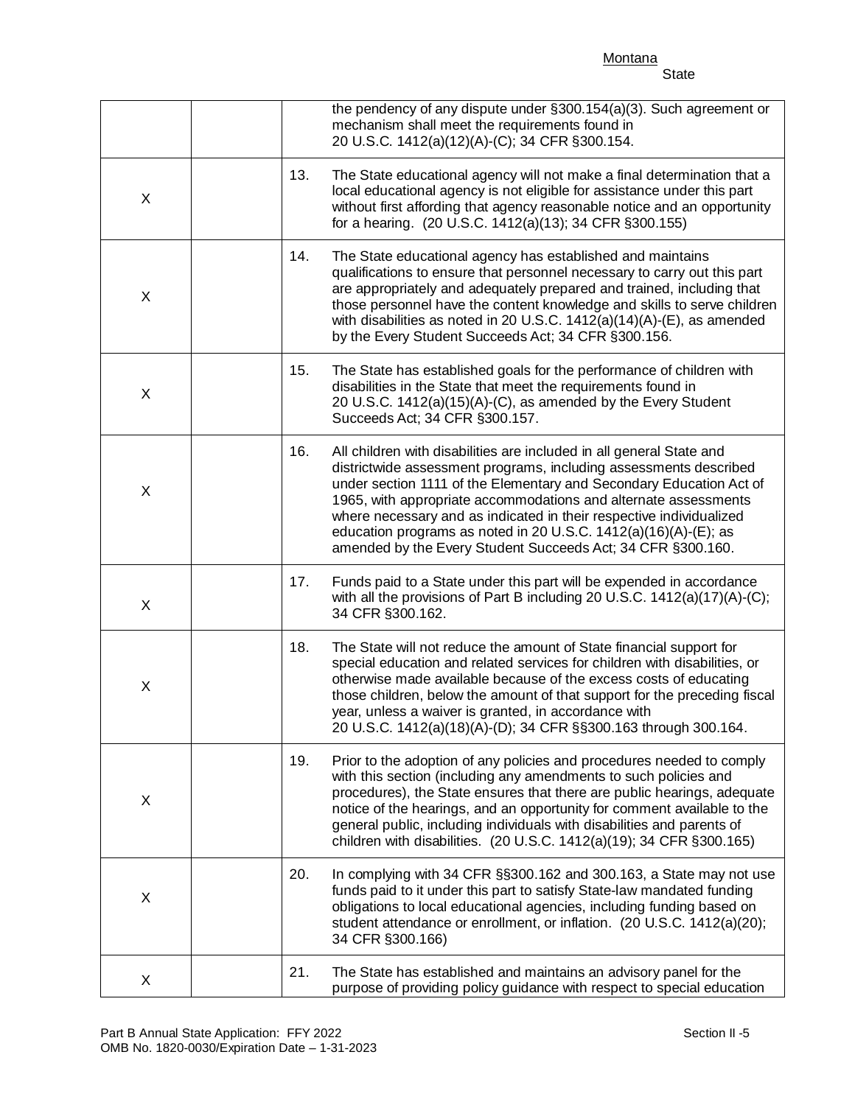**Montana** State

|   |     | the pendency of any dispute under §300.154(a)(3). Such agreement or<br>mechanism shall meet the requirements found in<br>20 U.S.C. 1412(a)(12)(A)-(C); 34 CFR §300.154.                                                                                                                                                                                                                                                                                                                      |
|---|-----|----------------------------------------------------------------------------------------------------------------------------------------------------------------------------------------------------------------------------------------------------------------------------------------------------------------------------------------------------------------------------------------------------------------------------------------------------------------------------------------------|
| X | 13. | The State educational agency will not make a final determination that a<br>local educational agency is not eligible for assistance under this part<br>without first affording that agency reasonable notice and an opportunity<br>for a hearing. (20 U.S.C. 1412(a)(13); 34 CFR §300.155)                                                                                                                                                                                                    |
| X | 14. | The State educational agency has established and maintains<br>qualifications to ensure that personnel necessary to carry out this part<br>are appropriately and adequately prepared and trained, including that<br>those personnel have the content knowledge and skills to serve children<br>with disabilities as noted in 20 U.S.C. $1412(a)(14)(A)$ -(E), as amended<br>by the Every Student Succeeds Act; 34 CFR §300.156.                                                               |
| X | 15. | The State has established goals for the performance of children with<br>disabilities in the State that meet the requirements found in<br>20 U.S.C. 1412(a)(15)(A)-(C), as amended by the Every Student<br>Succeeds Act; 34 CFR §300.157.                                                                                                                                                                                                                                                     |
| X | 16. | All children with disabilities are included in all general State and<br>districtwide assessment programs, including assessments described<br>under section 1111 of the Elementary and Secondary Education Act of<br>1965, with appropriate accommodations and alternate assessments<br>where necessary and as indicated in their respective individualized<br>education programs as noted in 20 U.S.C. 1412(a)(16)(A)-(E); as<br>amended by the Every Student Succeeds Act; 34 CFR §300.160. |
| X | 17. | Funds paid to a State under this part will be expended in accordance<br>with all the provisions of Part B including 20 U.S.C. 1412(a)(17)(A)-(C);<br>34 CFR §300.162.                                                                                                                                                                                                                                                                                                                        |
| X | 18. | The State will not reduce the amount of State financial support for<br>special education and related services for children with disabilities, or<br>otherwise made available because of the excess costs of educating<br>those children, below the amount of that support for the preceding fiscal<br>year, unless a waiver is granted, in accordance with<br>20 U.S.C. 1412(a)(18)(A)-(D); 34 CFR §§300.163 through 300.164.                                                                |
| X | 19. | Prior to the adoption of any policies and procedures needed to comply<br>with this section (including any amendments to such policies and<br>procedures), the State ensures that there are public hearings, adequate<br>notice of the hearings, and an opportunity for comment available to the<br>general public, including individuals with disabilities and parents of<br>children with disabilities. (20 U.S.C. 1412(a)(19); 34 CFR §300.165)                                            |
| X | 20. | In complying with 34 CFR §§300.162 and 300.163, a State may not use<br>funds paid to it under this part to satisfy State-law mandated funding<br>obligations to local educational agencies, including funding based on<br>student attendance or enrollment, or inflation. (20 U.S.C. 1412(a)(20);<br>34 CFR §300.166)                                                                                                                                                                        |
| X | 21. | The State has established and maintains an advisory panel for the<br>purpose of providing policy guidance with respect to special education                                                                                                                                                                                                                                                                                                                                                  |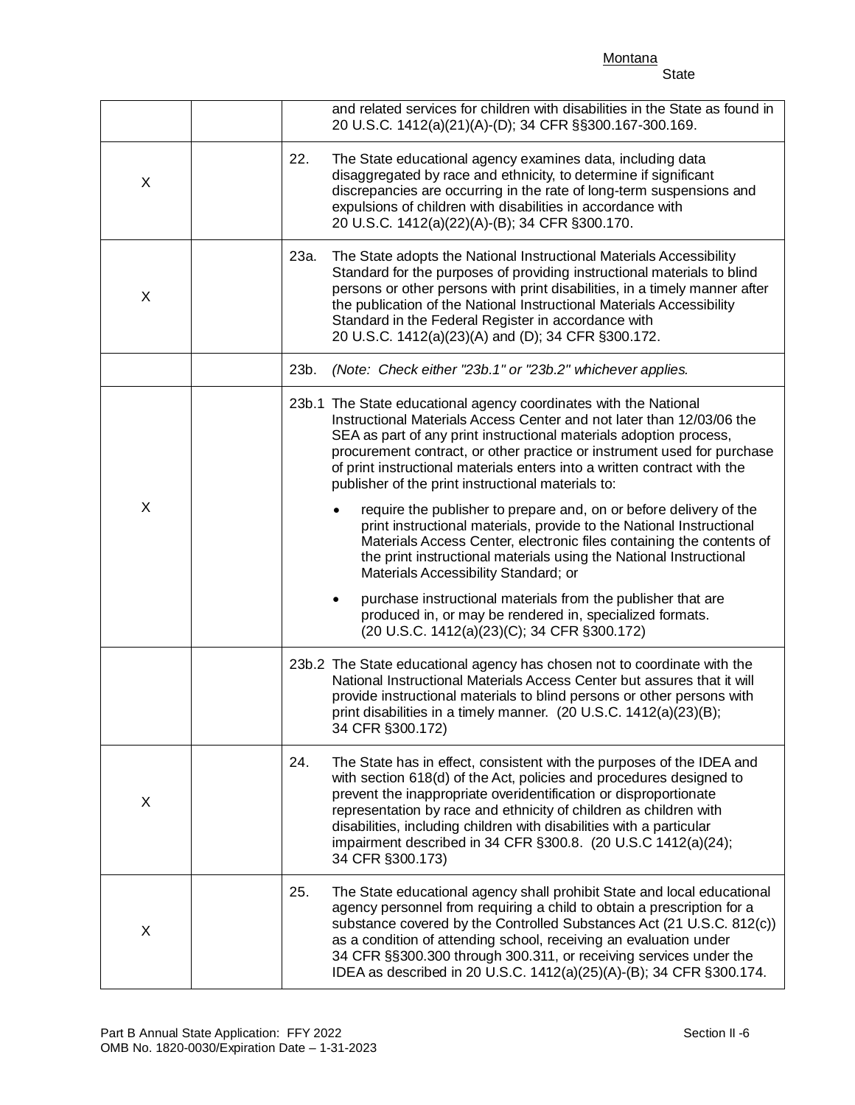Montana **State** 

## 20 U.S.C. 1412(a)(21)(A)-(D); 34 CFR §§300.167-300.169. 20 U.S.C. 1412(a)(22)(A)-(B); 34 CFR §300.170. 20 U.S.C. 1412(a)(23)(A) and (D); 34 CFR §300.172. procurement contract, or other practice or instrument used for purchase produced in, or may be rendered in, specialized formats. (20 U.S.C. 1412(a)(23)(C); 34 CFR §300.172) print disabilities in a timely manner. (20 U.S.C. 1412(a)(23)(B); 34 CFR §300.172) impairment described in 34 CFR §300.8. (20 U.S.C 1412(a)(24); 34 CFR §300.173) and related services for children with disabilities in the State as found in X 22. The State educational agency examines data, including data disaggregated by race and ethnicity, to determine if significant discrepancies are occurring in the rate of long-term suspensions and expulsions of children with disabilities in accordance with X 23a. The State adopts the National Instructional Materials Accessibility Standard for the purposes of providing instructional materials to blind persons or other persons with print disabilities, in a timely manner after the publication of the National Instructional Materials Accessibility Standard in the Federal Register in accordance with 23b. *(Note: Check either "23b.1" or "23b.2" whichever applies.*  X 23b.1 The State educational agency coordinates with the National Instructional Materials Access Center and not later than 12/03/06 the SEA as part of any print instructional materials adoption process, of print instructional materials enters into a written contract with the publisher of the print instructional materials to: require the publisher to prepare and, on or before delivery of the print instructional materials, provide to the National Instructional Materials Access Center, electronic files containing the contents of the print instructional materials using the National Instructional Materials Accessibility Standard; or • purchase instructional materials from the publisher that are 23b.2 The State educational agency has chosen not to coordinate with the National Instructional Materials Access Center but assures that it will provide instructional materials to blind persons or other persons with X 24. The State has in effect, consistent with the purposes of the IDEA and with section 618(d) of the Act, policies and procedures designed to prevent the inappropriate overidentification or disproportionate representation by race and ethnicity of children as children with disabilities, including children with disabilities with a particular

| X | The State educational agency shall prohibit State and local educational<br>25.<br>agency personnel from requiring a child to obtain a prescription for a<br>substance covered by the Controlled Substances Act (21 U.S.C. 812(c))<br>as a condition of attending school, receiving an evaluation under<br>34 CFR §§300.300 through 300.311, or receiving services under the<br>IDEA as described in 20 U.S.C. 1412(a)(25)(A)-(B); 34 CFR §300.174. |
|---|----------------------------------------------------------------------------------------------------------------------------------------------------------------------------------------------------------------------------------------------------------------------------------------------------------------------------------------------------------------------------------------------------------------------------------------------------|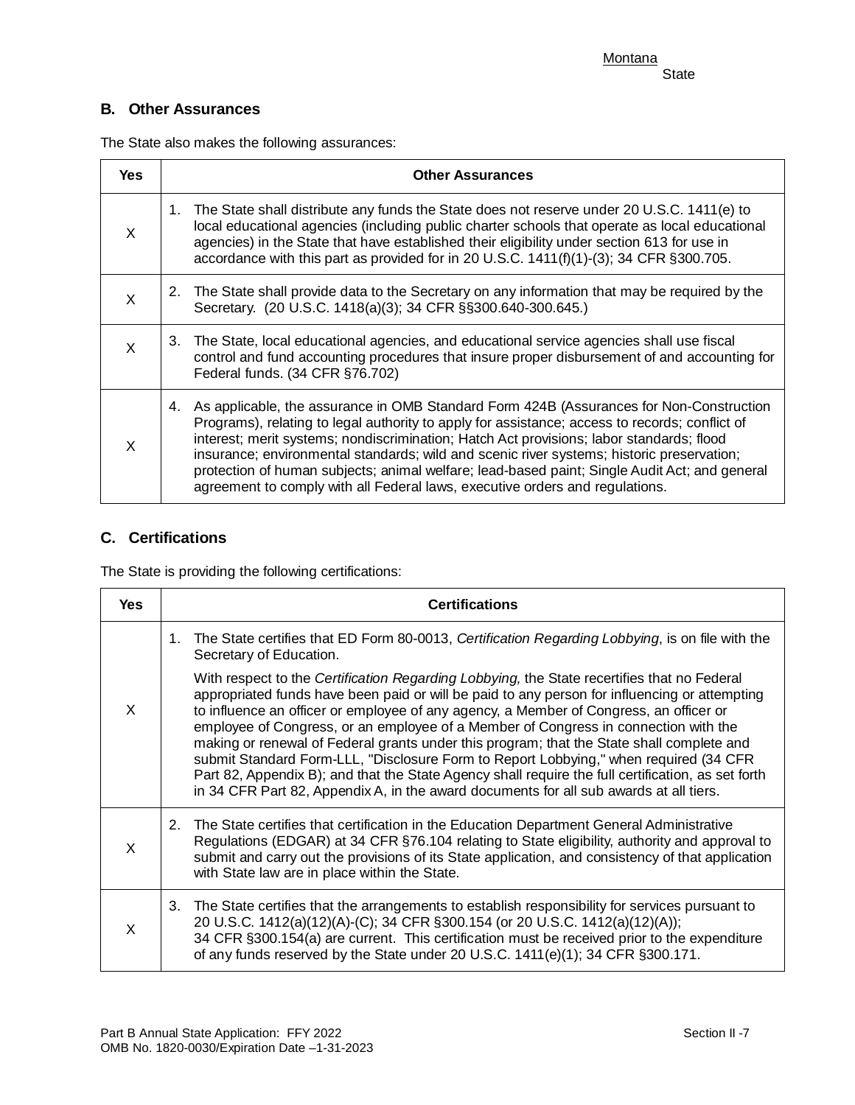# **B. Other Assurances**

The State also makes the following assurances:

| <b>Yes</b> | <b>Other Assurances</b>                                                                                                                                                                                                                                                                                                                                                                                                                                                                                                                                                   |
|------------|---------------------------------------------------------------------------------------------------------------------------------------------------------------------------------------------------------------------------------------------------------------------------------------------------------------------------------------------------------------------------------------------------------------------------------------------------------------------------------------------------------------------------------------------------------------------------|
| X          | 1. The State shall distribute any funds the State does not reserve under 20 U.S.C. 1411(e) to<br>local educational agencies (including public charter schools that operate as local educational<br>agencies) in the State that have established their eligibility under section 613 for use in<br>accordance with this part as provided for in 20 U.S.C. 1411(f)(1)-(3); 34 CFR §300.705.                                                                                                                                                                                 |
| X          | 2. The State shall provide data to the Secretary on any information that may be required by the<br>Secretary. (20 U.S.C. 1418(a)(3); 34 CFR §§300.640-300.645.)                                                                                                                                                                                                                                                                                                                                                                                                           |
| X          | 3. The State, local educational agencies, and educational service agencies shall use fiscal<br>control and fund accounting procedures that insure proper disbursement of and accounting for<br>Federal funds. (34 CFR §76.702)                                                                                                                                                                                                                                                                                                                                            |
| X          | As applicable, the assurance in OMB Standard Form 424B (Assurances for Non-Construction<br>4.<br>Programs), relating to legal authority to apply for assistance; access to records; conflict of<br>interest; merit systems; nondiscrimination; Hatch Act provisions; labor standards; flood<br>insurance; environmental standards; wild and scenic river systems; historic preservation;<br>protection of human subjects; animal welfare; lead-based paint; Single Audit Act; and general<br>agreement to comply with all Federal laws, executive orders and regulations. |

# **C. Certifications**

The State is providing the following certifications:

| Yes      | <b>Certifications</b>                                                                                                                                                                                                                                                                                                                                                                                                                                                                                                                                                                                                                                                                                                                                               |
|----------|---------------------------------------------------------------------------------------------------------------------------------------------------------------------------------------------------------------------------------------------------------------------------------------------------------------------------------------------------------------------------------------------------------------------------------------------------------------------------------------------------------------------------------------------------------------------------------------------------------------------------------------------------------------------------------------------------------------------------------------------------------------------|
|          | The State certifies that ED Form 80-0013, Certification Regarding Lobbying, is on file with the<br>1.<br>Secretary of Education.                                                                                                                                                                                                                                                                                                                                                                                                                                                                                                                                                                                                                                    |
| X        | With respect to the Certification Regarding Lobbying, the State recertifies that no Federal<br>appropriated funds have been paid or will be paid to any person for influencing or attempting<br>to influence an officer or employee of any agency, a Member of Congress, an officer or<br>employee of Congress, or an employee of a Member of Congress in connection with the<br>making or renewal of Federal grants under this program; that the State shall complete and<br>submit Standard Form-LLL, "Disclosure Form to Report Lobbying," when required (34 CFR<br>Part 82, Appendix B); and that the State Agency shall require the full certification, as set forth<br>in 34 CFR Part 82, Appendix A, in the award documents for all sub awards at all tiers. |
| X        | The State certifies that certification in the Education Department General Administrative<br>2.<br>Regulations (EDGAR) at 34 CFR §76.104 relating to State eligibility, authority and approval to<br>submit and carry out the provisions of its State application, and consistency of that application<br>with State law are in place within the State.                                                                                                                                                                                                                                                                                                                                                                                                             |
| $\times$ | 3. The State certifies that the arrangements to establish responsibility for services pursuant to<br>20 U.S.C. 1412(a)(12)(A)-(C); 34 CFR §300.154 (or 20 U.S.C. 1412(a)(12)(A));<br>34 CFR §300.154(a) are current. This certification must be received prior to the expenditure<br>of any funds reserved by the State under 20 U.S.C. 1411(e)(1); 34 CFR §300.171.                                                                                                                                                                                                                                                                                                                                                                                                |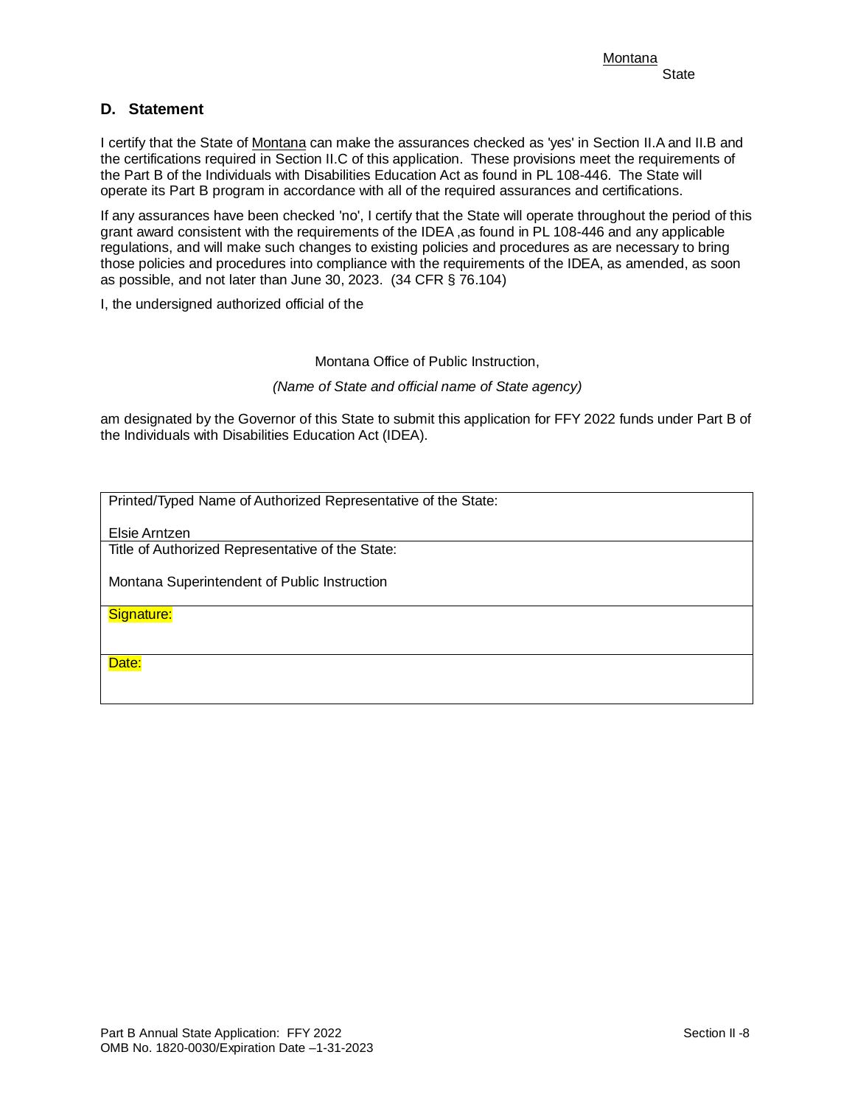## **D. Statement**

 the certifications required in Section II.C of this application. These provisions meet the requirements of the Part B of the Individuals with Disabilities Education Act as found in PL 108-446. The State will I certify that the State of Montana can make the assurances checked as 'yes' in Section II.A and II.B and operate its Part B program in accordance with all of the required assurances and certifications.

 as possible, and not later than June 30, 2023. (34 CFR § 76.104) If any assurances have been checked 'no', I certify that the State will operate throughout the period of this grant award consistent with the requirements of the IDEA ,as found in PL 108-446 and any applicable regulations, and will make such changes to existing policies and procedures as are necessary to bring those policies and procedures into compliance with the requirements of the IDEA, as amended, as soon

I, the undersigned authorized official of the

Montana Office of Public Instruction,

*(Name of State and official name of State agency)* 

am designated by the Governor of this State to submit this application for FFY 2022 funds under Part B of the Individuals with Disabilities Education Act (IDEA).

Printed/Typed Name of Authorized Representative of the State:

Elsie Arntzen

Title of Authorized Representative of the State:

Montana Superintendent of Public Instruction

Signature:

Date: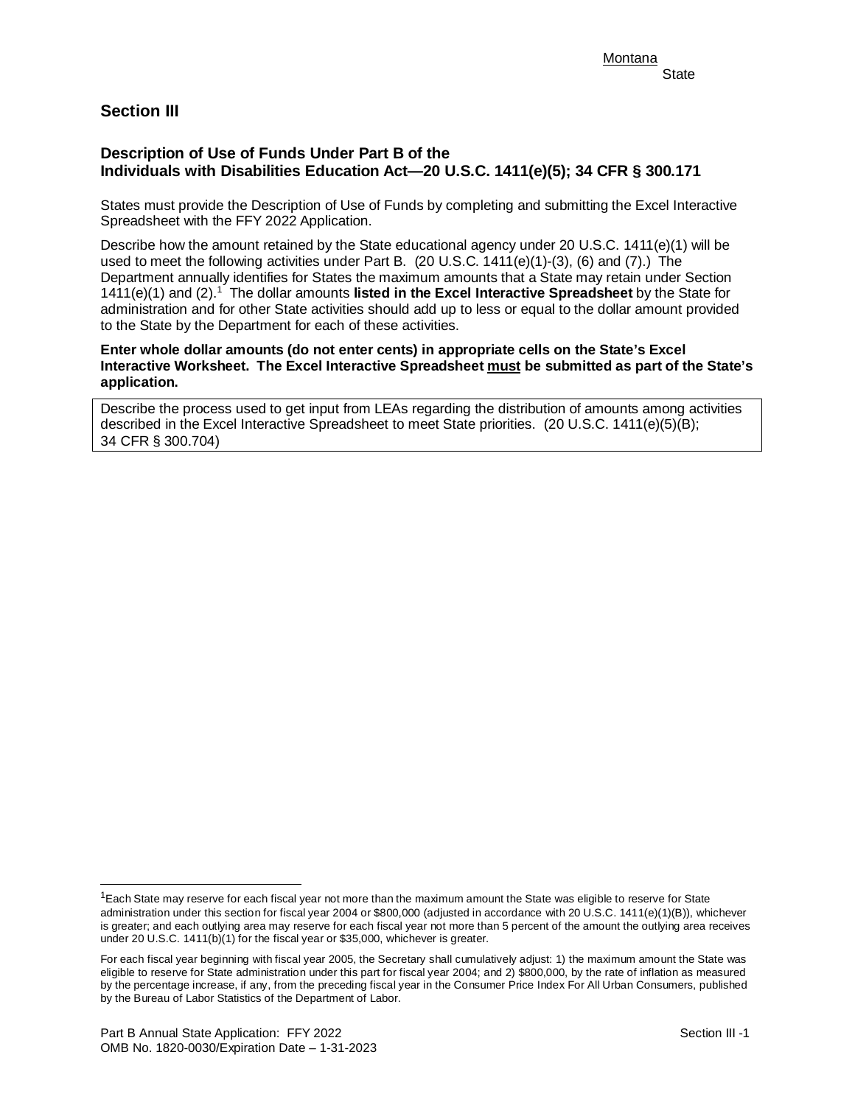# **Section III**

## **Description of Use of Funds Under Part B of the Individuals with Disabilities Education Act—20 U.S.C. 1411(e)(5); 34 CFR § 300.171**

States must provide the Description of Use of Funds by completing and submitting the Excel Interactive Spreadsheet with the FFY 2022 Application.

 Describe how the amount retained by the State educational agency under 20 U.S.C. 1411(e)(1) will be used to meet the following activities under Part B. (20 U.S.C. 1411(e)(1)-(3), (6) and (7).) The 1411(e)(1) and (2).[1](#page-8-0) The dollar amounts **listed in the Excel Interactive Spreadsheet** by the State for Department annually identifies for States the maximum amounts that a State may retain under Section administration and for other State activities should add up to less or equal to the dollar amount provided to the State by the Department for each of these activities.

**Enter whole dollar amounts (do not enter cents) in appropriate cells on the State's Excel Interactive Worksheet. The Excel Interactive Spreadsheet must be submitted as part of the State's application.** 

 Describe the process used to get input from LEAs regarding the distribution of amounts among activities described in the Excel Interactive Spreadsheet to meet State priorities. (20 U.S.C. 1411(e)(5)(B); 34 CFR § 300.704)

 $\overline{a}$ 

<span id="page-8-0"></span> administration under this section for fiscal year 2004 or \$800,000 (adjusted in accordance with 20 U.S.C. 1411(e)(1)(B)), whichever is greater; and each outlying area may reserve for each fiscal year not more than 5 percent of the amount the outlying area receives  $1$ Each State may reserve for each fiscal year not more than the maximum amount the State was eligible to reserve for State under 20 U.S.C. 1411(b)(1) for the fiscal year or \$35,000, whichever is greater.

 For each fiscal year beginning with fiscal year 2005, the Secretary shall cumulatively adjust: 1) the maximum amount the State was eligible to reserve for State administration under this part for fiscal year 2004; and 2) \$800,000, by the rate of inflation as measured by the percentage increase, if any, from the preceding fiscal year in the Consumer Price Index For All Urban Consumers, published by the Bureau of Labor Statistics of the Department of Labor.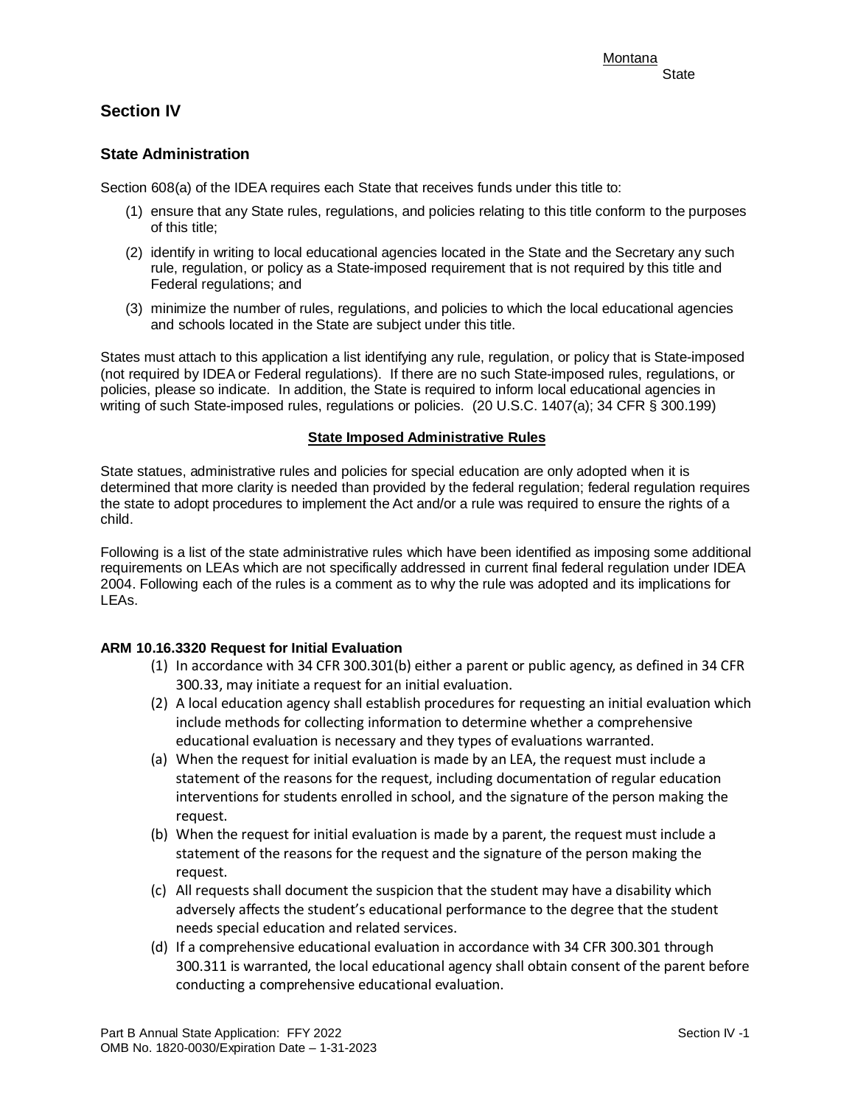# **Section IV**

## **State Administration**

Section 608(a) of the IDEA requires each State that receives funds under this title to:

- (1) ensure that any State rules, regulations, and policies relating to this title conform to the purposes of this title;
- (2) identify in writing to local educational agencies located in the State and the Secretary any such rule, regulation, or policy as a State-imposed requirement that is not required by this title and Federal regulations; and
- and schools located in the State are subject under this title. (3) minimize the number of rules, regulations, and policies to which the local educational agencies

 writing of such State-imposed rules, regulations or policies. (20 U.S.C. 1407(a); 34 CFR § 300.199) States must attach to this application a list identifying any rule, regulation, or policy that is State-imposed (not required by IDEA or Federal regulations). If there are no such State-imposed rules, regulations, or policies, please so indicate. In addition, the State is required to inform local educational agencies in

#### **State Imposed Administrative Rules**

 determined that more clarity is needed than provided by the federal regulation; federal regulation requires State statues, administrative rules and policies for special education are only adopted when it is the state to adopt procedures to implement the Act and/or a rule was required to ensure the rights of a child.

Following is a list of the state administrative rules which have been identified as imposing some additional requirements on LEAs which are not specifically addressed in current final federal regulation under IDEA 2004. Following each of the rules is a comment as to why the rule was adopted and its implications for LEAs.

## **ARM 10.16.3320 Request for Initial Evaluation**

- (1) In accordance with 34 CFR 300.301(b) either a parent or public agency, as defined in 34 CFR 300.33, may initiate a request for an initial evaluation.
- (2) A local education agency shall establish procedures for requesting an initial evaluation which include methods for collecting information to determine whether a comprehensive educational evaluation is necessary and they types of evaluations warranted.
- (a) When the request for initial evaluation is made by an LEA, the request must include a statement of the reasons for the request, including documentation of regular education interventions for students enrolled in school, and the signature of the person making the request.
- (b) When the request for initial evaluation is made by a parent, the request must include a statement of the reasons for the request and the signature of the person making the request.
- (c) All requests shall document the suspicion that the student may have a disability which adversely affects the student's educational performance to the degree that the student needs special education and related services.
- (d) If a comprehensive educational evaluation in accordance with 34 CFR 300.301 through 300.311 is warranted, the local educational agency shall obtain consent of the parent before conducting a comprehensive educational evaluation.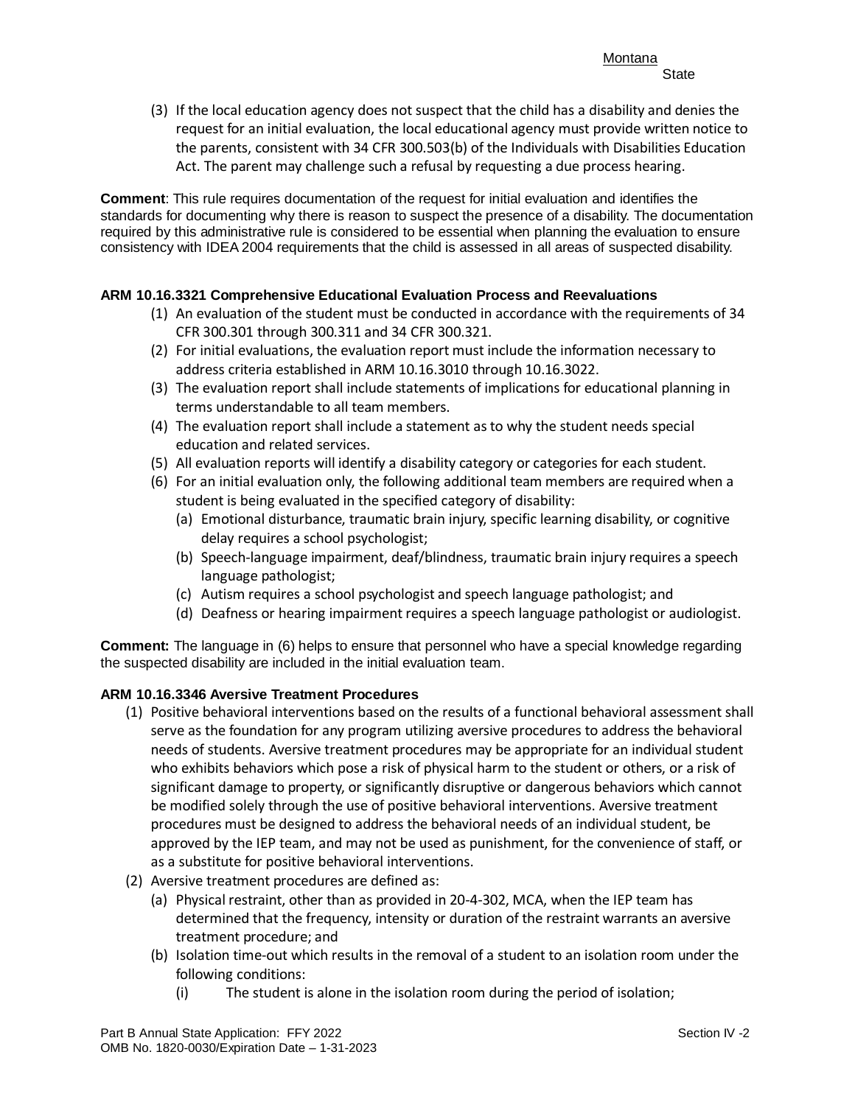(3) If the local education agency does not suspect that the child has a disability and denies the request for an initial evaluation, the local educational agency must provide written notice to the parents, consistent with 34 CFR 300.503(b) of the Individuals with Disabilities Education Act. The parent may challenge such a refusal by requesting a due process hearing.

**Comment**: This rule requires documentation of the request for initial evaluation and identifies the standards for documenting why there is reason to suspect the presence of a disability. The documentation required by this administrative rule is considered to be essential when planning the evaluation to ensure consistency with IDEA 2004 requirements that the child is assessed in all areas of suspected disability.

## **ARM 10.16.3321 Comprehensive Educational Evaluation Process and Reevaluations**

- (1) An evaluation of the student must be conducted in accordance with the requirements of 34 CFR 300.301 through 300.311 and 34 CFR 300.321.
- (2) For initial evaluations, the evaluation report must include the information necessary to address criteria established in ARM 10.16.3010 through 10.16.3022.
- terms understandable to all team members. (3) The evaluation report shall include statements of implications for educational planning in
- (4) The evaluation report shall include a statement as to why the student needs special education and related services.
- (5) All evaluation reports will identify a disability category or categories for each student.
- (6) For an initial evaluation only, the following additional team members are required when a student is being evaluated in the specified category of disability:
	- (a) Emotional disturbance, traumatic brain injury, specific learning disability, or cognitive delay requires a school psychologist;
	- (b) Speech-language impairment, deaf/blindness, traumatic brain injury requires a speech language pathologist;
	- (c) Autism requires a school psychologist and speech language pathologist; and
	- (d) Deafness or hearing impairment requires a speech language pathologist or audiologist.

 **Comment:** The language in (6) helps to ensure that personnel who have a special knowledge regarding the suspected disability are included in the initial evaluation team.

## **ARM 10.16.3346 Aversive Treatment Procedures**

- who exhibits behaviors which pose a risk of physical harm to the student or others, or a risk of (1) Positive behavioral interventions based on the results of a functional behavioral assessment shall serve as the foundation for any program utilizing aversive procedures to address the behavioral needs of students. Aversive treatment procedures may be appropriate for an individual student significant damage to property, or significantly disruptive or dangerous behaviors which cannot be modified solely through the use of positive behavioral interventions. Aversive treatment procedures must be designed to address the behavioral needs of an individual student, be approved by the IEP team, and may not be used as punishment, for the convenience of staff, or as a substitute for positive behavioral interventions.
- (2) Aversive treatment procedures are defined as:
	- (a) Physical restraint, other than as provided in 20-4-302, MCA, when the IEP team has determined that the frequency, intensity or duration of the restraint warrants an aversive treatment procedure; and
	- (b) Isolation time-out which results in the removal of a student to an isolation room under the following conditions:
		- (i) The student is alone in the isolation room during the period of isolation;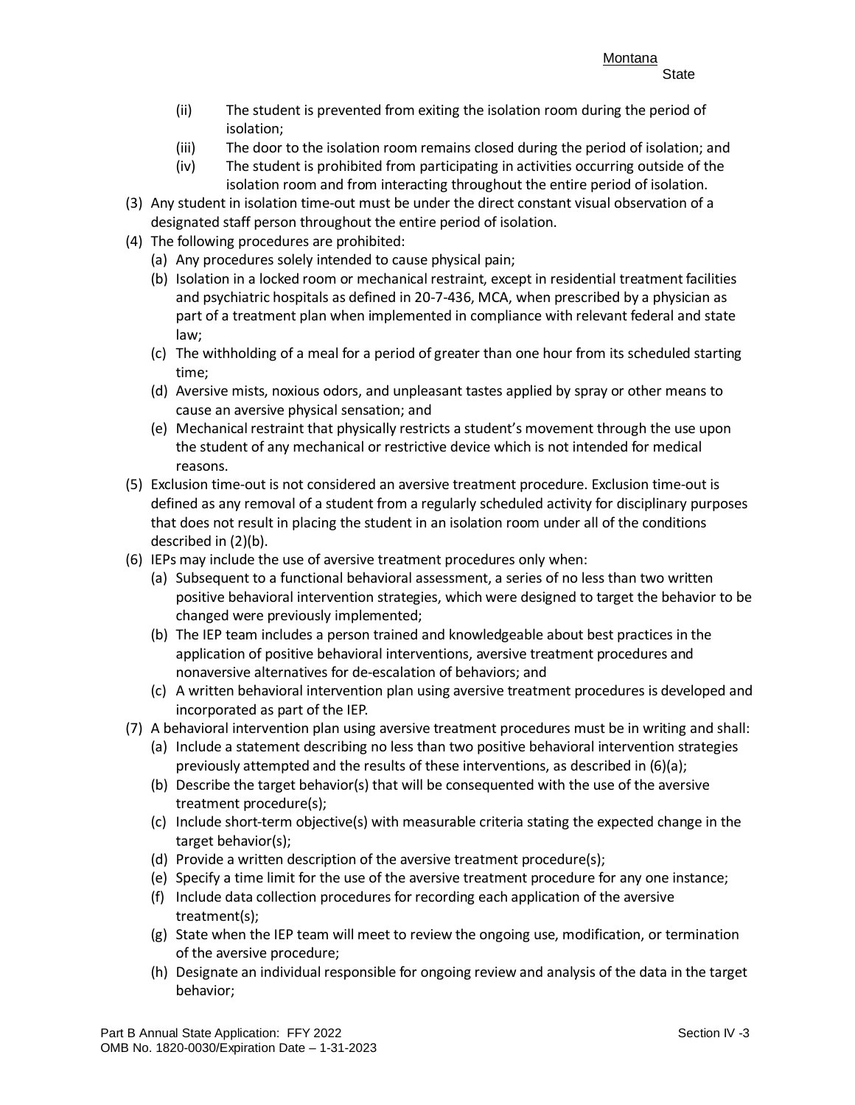- (ii) The student is prevented from exiting the isolation room during the period of isolation;
- (iii) The door to the isolation room remains closed during the period of isolation; and
- (iv) The student is prohibited from participating in activities occurring outside of the isolation room and from interacting throughout the entire period of isolation.
- (3) Any student in isolation time-out must be under the direct constant visual observation of a designated staff person throughout the entire period of isolation.
- (4) The following procedures are prohibited:
	- (a) Any procedures solely intended to cause physical pain;
	- (b) Isolation in a locked room or mechanical restraint, except in residential treatment facilities and psychiatric hospitals as defined in 20-7-436, MCA, when prescribed by a physician as part of a treatment plan when implemented in compliance with relevant federal and state law;
	- (c) The withholding of a meal for a period of greater than one hour from its scheduled starting time;
	- (d) Aversive mists, noxious odors, and unpleasant tastes applied by spray or other means to cause an aversive physical sensation; and
	- (e) Mechanical restraint that physically restricts a student's movement through the use upon the student of any mechanical or restrictive device which is not intended for medical reasons.
- (5) Exclusion time-out is not considered an aversive treatment procedure. Exclusion time-out is defined as any removal of a student from a regularly scheduled activity for disciplinary purposes that does not result in placing the student in an isolation room under all of the conditions described in (2)(b).
- (6) IEPs may include the use of aversive treatment procedures only when:
	- (a) Subsequent to a functional behavioral assessment, a series of no less than two written positive behavioral intervention strategies, which were designed to target the behavior to be changed were previously implemented;
	- (b) The IEP team includes a person trained and knowledgeable about best practices in the application of positive behavioral interventions, aversive treatment procedures and nonaversive alternatives for de-escalation of behaviors; and
	- (c) A written behavioral intervention plan using aversive treatment procedures is developed and incorporated as part of the IEP.
- (7) A behavioral intervention plan using aversive treatment procedures must be in writing and shall:
	- (a) Include a statement describing no less than two positive behavioral intervention strategies previously attempted and the results of these interventions, as described in (6)(a);
	- (b) Describe the target behavior(s) that will be consequented with the use of the aversive treatment procedure(s);
	- (c) Include short-term objective(s) with measurable criteria stating the expected change in the target behavior(s);
	- (d) Provide a written description of the aversive treatment procedure(s);
	- (e) Specify a time limit for the use of the aversive treatment procedure for any one instance;
	- (f) Include data collection procedures for recording each application of the aversive treatment(s);
	- (g) State when the IEP team will meet to review the ongoing use, modification, or termination of the aversive procedure;
	- (h) Designate an individual responsible for ongoing review and analysis of the data in the target behavior;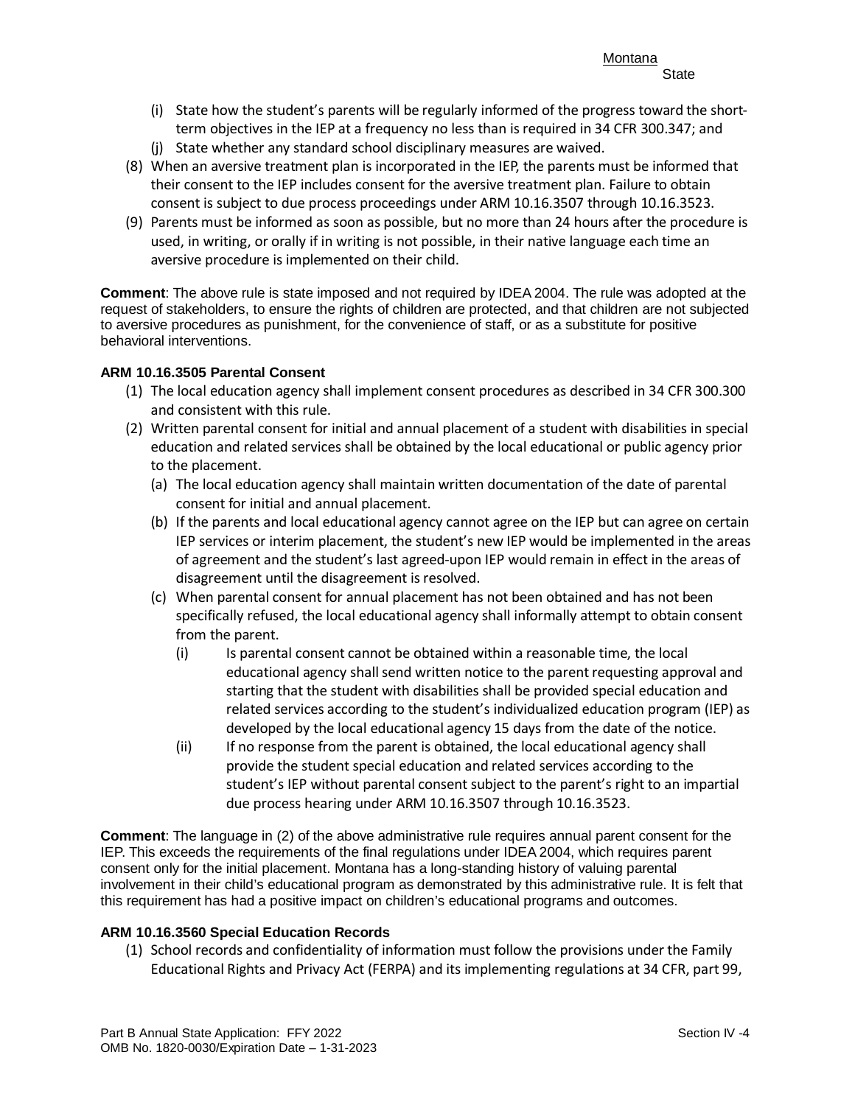- (i) State how the student's parents will be regularly informed of the progress toward the shortterm objectives in the IEP at a frequency no less than is required in 34 CFR 300.347; and
- (j) State whether any standard school disciplinary measures are waived.
- (8) When an aversive treatment plan is incorporated in the IEP, the parents must be informed that their consent to the IEP includes consent for the aversive treatment plan. Failure to obtain consent is subject to due process proceedings under ARM 10.16.3507 through 10.16.3523.
- used, in writing, or orally if in writing is not possible, in their native language each time an (9) Parents must be informed as soon as possible, but no more than 24 hours after the procedure is aversive procedure is implemented on their child.

**Comment**: The above rule is state imposed and not required by IDEA 2004. The rule was adopted at the request of stakeholders, to ensure the rights of children are protected, and that children are not subjected to aversive procedures as punishment, for the convenience of staff, or as a substitute for positive behavioral interventions.

## **ARM 10.16.3505 Parental Consent**

- (1) The local education agency shall implement consent procedures as described in 34 CFR 300.300 and consistent with this rule.
- education and related services shall be obtained by the local educational or public agency prior (2) Written parental consent for initial and annual placement of a student with disabilities in special to the placement.
	- (a) The local education agency shall maintain written documentation of the date of parental consent for initial and annual placement.
	- IEP services or interim placement, the student's new IEP would be implemented in the areas (b) If the parents and local educational agency cannot agree on the IEP but can agree on certain of agreement and the student's last agreed-upon IEP would remain in effect in the areas of disagreement until the disagreement is resolved.
	- (c) When parental consent for annual placement has not been obtained and has not been specifically refused, the local educational agency shall informally attempt to obtain consent from the parent.
		- educational agency shall send written notice to the parent requesting approval and (i) Is parental consent cannot be obtained within a reasonable time, the local starting that the student with disabilities shall be provided special education and related services according to the student's individualized education program (IEP) as developed by the local educational agency 15 days from the date of the notice.
		- (ii) If no response from the parent is obtained, the local educational agency shall provide the student special education and related services according to the student's IEP without parental consent subject to the parent's right to an impartial due process hearing under ARM 10.16.3507 through 10.16.3523.

 consent only for the initial placement. Montana has a long-standing history of valuing parental **Comment**: The language in (2) of the above administrative rule requires annual parent consent for the IEP. This exceeds the requirements of the final regulations under IDEA 2004, which requires parent involvement in their child's educational program as demonstrated by this administrative rule. It is felt that this requirement has had a positive impact on children's educational programs and outcomes.

#### **ARM 10.16.3560 Special Education Records**

 Educational Rights and Privacy Act (FERPA) and its implementing regulations at 34 CFR, part 99, (1) School records and confidentiality of information must follow the provisions under the Family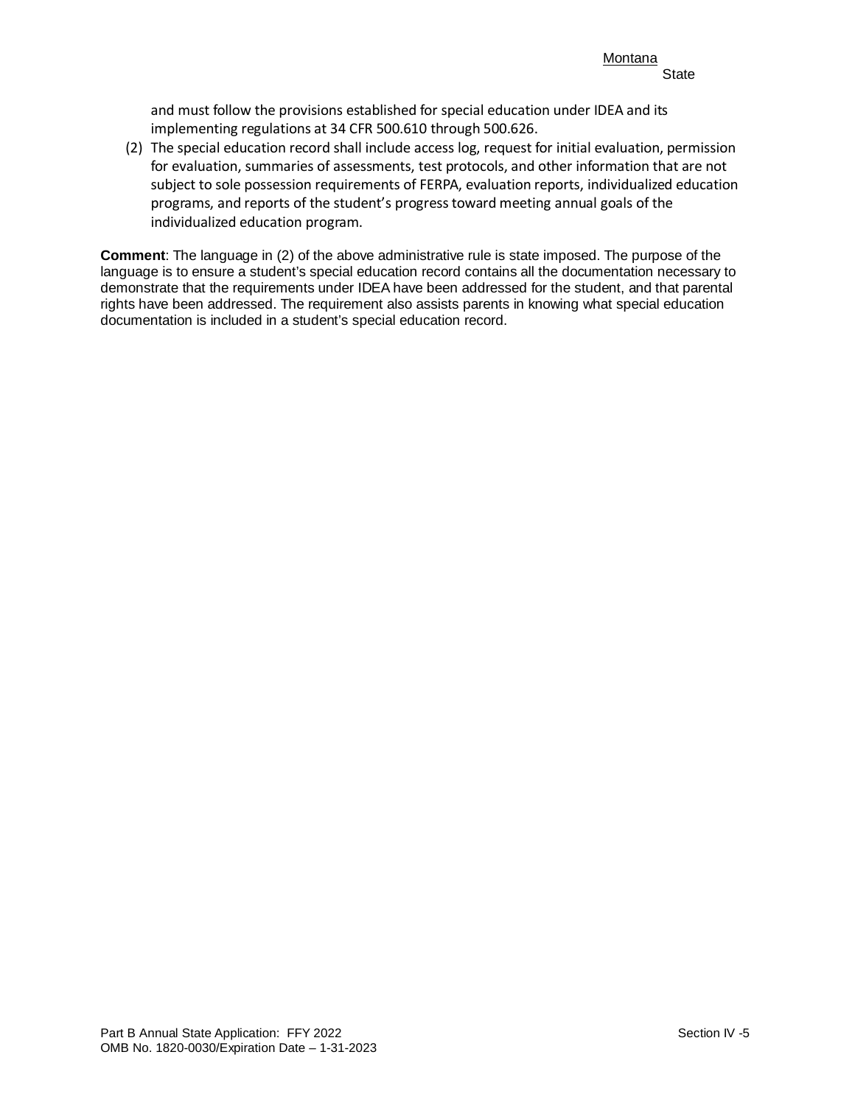and must follow the provisions established for special education under IDEA and its implementing regulations at 34 CFR 500.610 through 500.626.

(2) The special education record shall include access log, request for initial evaluation, permission for evaluation, summaries of assessments, test protocols, and other information that are not subject to sole possession requirements of FERPA, evaluation reports, individualized education programs, and reports of the student's progress toward meeting annual goals of the individualized education program.

 demonstrate that the requirements under IDEA have been addressed for the student, and that parental **Comment**: The language in (2) of the above administrative rule is state imposed. The purpose of the language is to ensure a student's special education record contains all the documentation necessary to rights have been addressed. The requirement also assists parents in knowing what special education documentation is included in a student's special education record.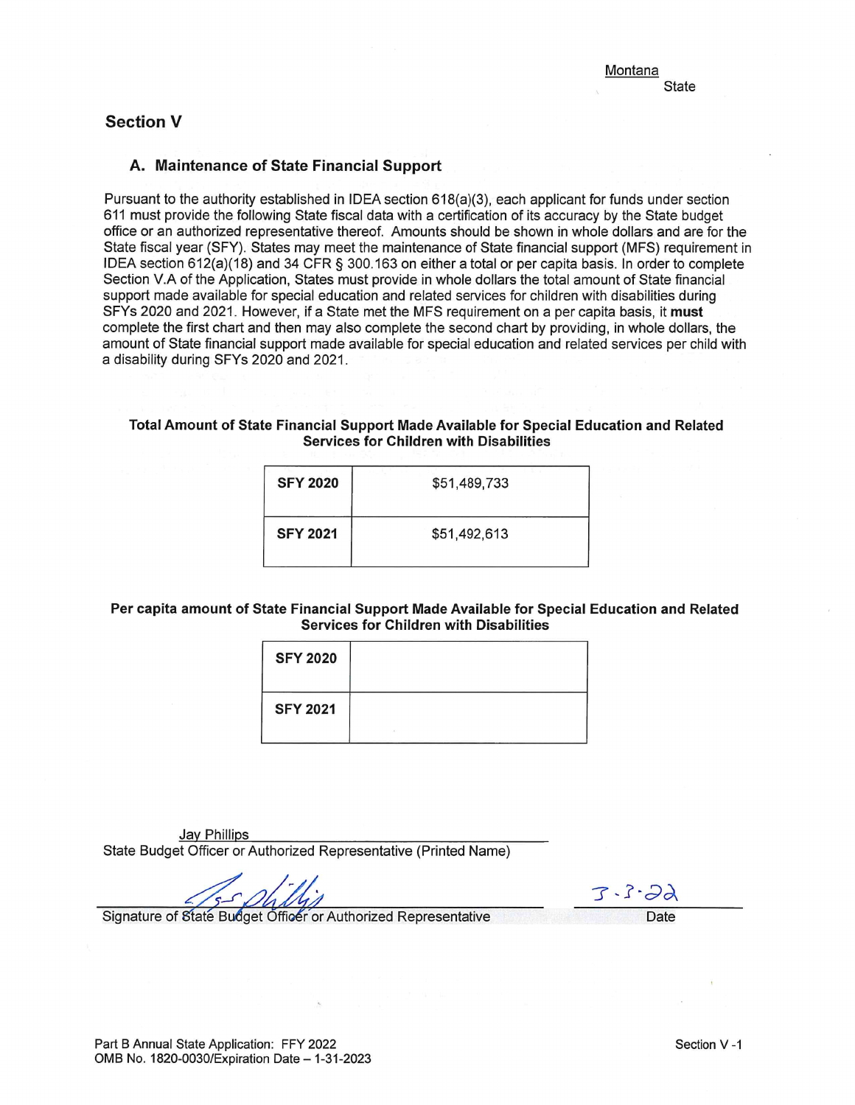# **Section V**

## A. Maintenance of State Financial Support

Pursuant to the authority established in IDEA section 618(a)(3), each applicant for funds under section 611 must provide the following State fiscal data with a certification of its accuracy by the State budget office or an authorized representative thereof. Amounts should be shown in whole dollars and are for the State fiscal year (SFY). States may meet the maintenance of State financial support (MFS) requirement in IDEA section 612(a)(18) and 34 CFR § 300.163 on either a total or per capita basis. In order to complete Section V.A of the Application. States must provide in whole dollars the total amount of State financial support made available for special education and related services for children with disabilities during SFYs 2020 and 2021. However, if a State met the MFS requirement on a per capita basis, it must complete the first chart and then may also complete the second chart by providing, in whole dollars, the amount of State financial support made available for special education and related services per child with a disability during SFYs 2020 and 2021.

#### Total Amount of State Financial Support Made Available for Special Education and Related **Services for Children with Disabilities**

| <b>SFY 2020</b> | \$51,489,733 |
|-----------------|--------------|
| <b>SFY 2021</b> | \$51,492,613 |

#### Per capita amount of State Financial Support Made Available for Special Education and Related **Services for Children with Disabilities**

| <b>SFY 2020</b> |  |
|-----------------|--|
| <b>SFY 2021</b> |  |
|                 |  |

Jay Phillips State Budget Officer or Authorized Representative (Printed Name)

 $3 - 3 - 22$ 

Signature of State Budget Officer or Authorized Representative

Date